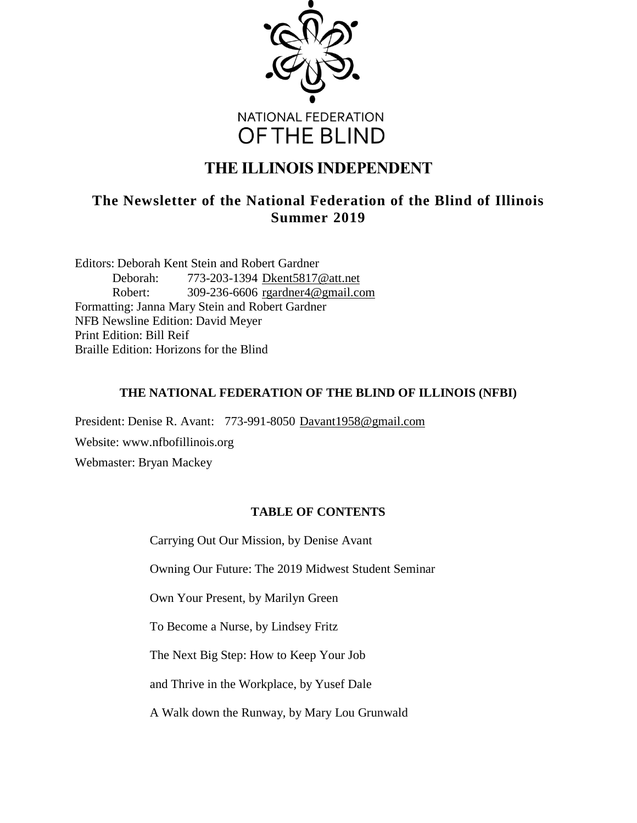

# **THE ILLINOIS INDEPENDENT**

# **The Newsletter of the National Federation of the Blind of Illinois Summer 2019**

Editors: Deborah Kent Stein and Robert Gardner Deborah: 773-203-1394 [Dkent5817@att.net](mailto:Dkent5817@att.net) Robert: 309-236-6606 [rgardner4@gmail.com](mailto:rgardner4@gmail.com) Formatting: Janna Mary Stein and Robert Gardner NFB Newsline Edition: David Meyer Print Edition: Bill Reif Braille Edition: Horizons for the Blind

# **THE NATIONAL FEDERATION OF THE BLIND OF ILLINOIS (NFBI)**

President: Denise R. Avant: 773-991-8050 [Davant1958@gmail.com](mailto:Davant1958@gmail.com) Website: www.nfbofillinois.org Webmaster: Bryan Mackey

# **TABLE OF CONTENTS**

Carrying Out Our Mission, by Denise Avant

Owning Our Future: The 2019 Midwest Student Seminar

Own Your Present, by Marilyn Green

To Become a Nurse, by Lindsey Fritz

The Next Big Step: How to Keep Your Job

and Thrive in the Workplace, by Yusef Dale

A Walk down the Runway, by Mary Lou Grunwald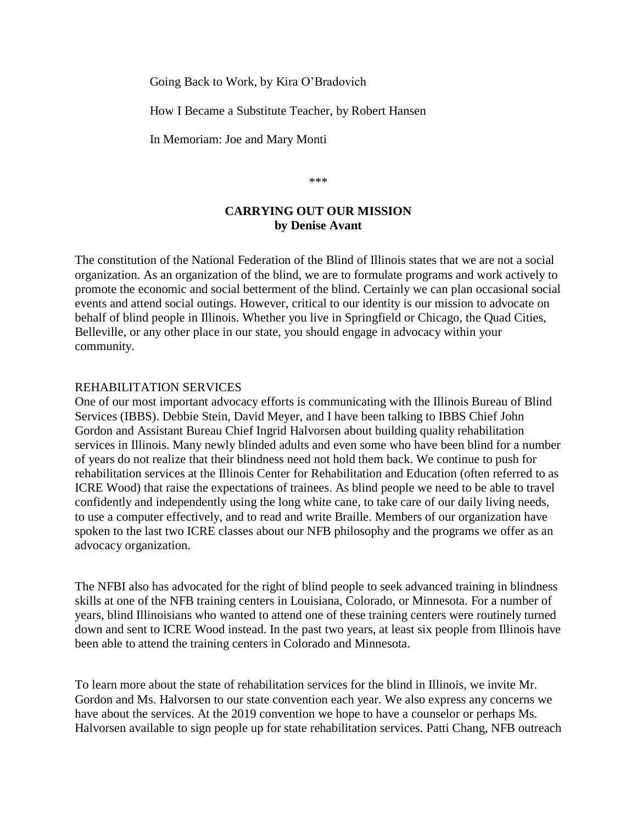Going Back to Work, by Kira O'Bradovich

How I Became a Substitute Teacher, by Robert Hansen

In Memoriam: Joe and Mary Monti

\*\*\*

## **CARRYING OUT OUR MISSION by Denise Avant**

The constitution of the National Federation of the Blind of Illinois states that we are not a social organization. As an organization of the blind, we are to formulate programs and work actively to promote the economic and social betterment of the blind. Certainly we can plan occasional social events and attend social outings. However, critical to our identity is our mission to advocate on behalf of blind people in Illinois. Whether you live in Springfield or Chicago, the Quad Cities, Belleville, or any other place in our state, you should engage in advocacy within your community.

#### REHABILITATION SERVICES

One of our most important advocacy efforts is communicating with the Illinois Bureau of Blind Services (IBBS). Debbie Stein, David Meyer, and I have been talking to IBBS Chief John Gordon and Assistant Bureau Chief Ingrid Halvorsen about building quality rehabilitation services in Illinois. Many newly blinded adults and even some who have been blind for a number of years do not realize that their blindness need not hold them back. We continue to push for rehabilitation services at the Illinois Center for Rehabilitation and Education (often referred to as ICRE Wood) that raise the expectations of trainees. As blind people we need to be able to travel confidently and independently using the long white cane, to take care of our daily living needs, to use a computer effectively, and to read and write Braille. Members of our organization have spoken to the last two ICRE classes about our NFB philosophy and the programs we offer as an advocacy organization.

The NFBI also has advocated for the right of blind people to seek advanced training in blindness skills at one of the NFB training centers in Louisiana, Colorado, or Minnesota. For a number of years, blind Illinoisians who wanted to attend one of these training centers were routinely turned down and sent to ICRE Wood instead. In the past two years, at least six people from Illinois have been able to attend the training centers in Colorado and Minnesota.

To learn more about the state of rehabilitation services for the blind in Illinois, we invite Mr. Gordon and Ms. Halvorsen to our state convention each year. We also express any concerns we have about the services. At the 2019 convention we hope to have a counselor or perhaps Ms. Halvorsen available to sign people up for state rehabilitation services. Patti Chang, NFB outreach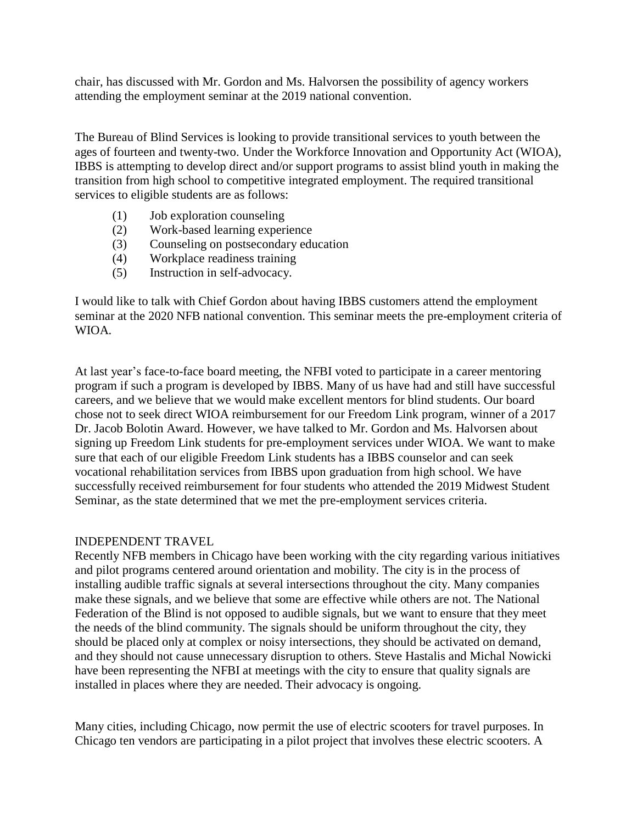chair, has discussed with Mr. Gordon and Ms. Halvorsen the possibility of agency workers attending the employment seminar at the 2019 national convention.

The Bureau of Blind Services is looking to provide transitional services to youth between the ages of fourteen and twenty-two. Under the Workforce Innovation and Opportunity Act (WIOA), IBBS is attempting to develop direct and/or support programs to assist blind youth in making the transition from high school to competitive integrated employment. The required transitional services to eligible students are as follows:

- (1) Job exploration counseling
- (2) Work-based learning experience
- (3) Counseling on postsecondary education
- (4) Workplace readiness training
- (5) Instruction in self-advocacy.

I would like to talk with Chief Gordon about having IBBS customers attend the employment seminar at the 2020 NFB national convention. This seminar meets the pre-employment criteria of WIOA.

At last year's face-to-face board meeting, the NFBI voted to participate in a career mentoring program if such a program is developed by IBBS. Many of us have had and still have successful careers, and we believe that we would make excellent mentors for blind students. Our board chose not to seek direct WIOA reimbursement for our Freedom Link program, winner of a 2017 Dr. Jacob Bolotin Award. However, we have talked to Mr. Gordon and Ms. Halvorsen about signing up Freedom Link students for pre-employment services under WIOA. We want to make sure that each of our eligible Freedom Link students has a IBBS counselor and can seek vocational rehabilitation services from IBBS upon graduation from high school. We have successfully received reimbursement for four students who attended the 2019 Midwest Student Seminar, as the state determined that we met the pre-employment services criteria.

### INDEPENDENT TRAVEL

Recently NFB members in Chicago have been working with the city regarding various initiatives and pilot programs centered around orientation and mobility. The city is in the process of installing audible traffic signals at several intersections throughout the city. Many companies make these signals, and we believe that some are effective while others are not. The National Federation of the Blind is not opposed to audible signals, but we want to ensure that they meet the needs of the blind community. The signals should be uniform throughout the city, they should be placed only at complex or noisy intersections, they should be activated on demand, and they should not cause unnecessary disruption to others. Steve Hastalis and Michal Nowicki have been representing the NFBI at meetings with the city to ensure that quality signals are installed in places where they are needed. Their advocacy is ongoing.

Many cities, including Chicago, now permit the use of electric scooters for travel purposes. In Chicago ten vendors are participating in a pilot project that involves these electric scooters. A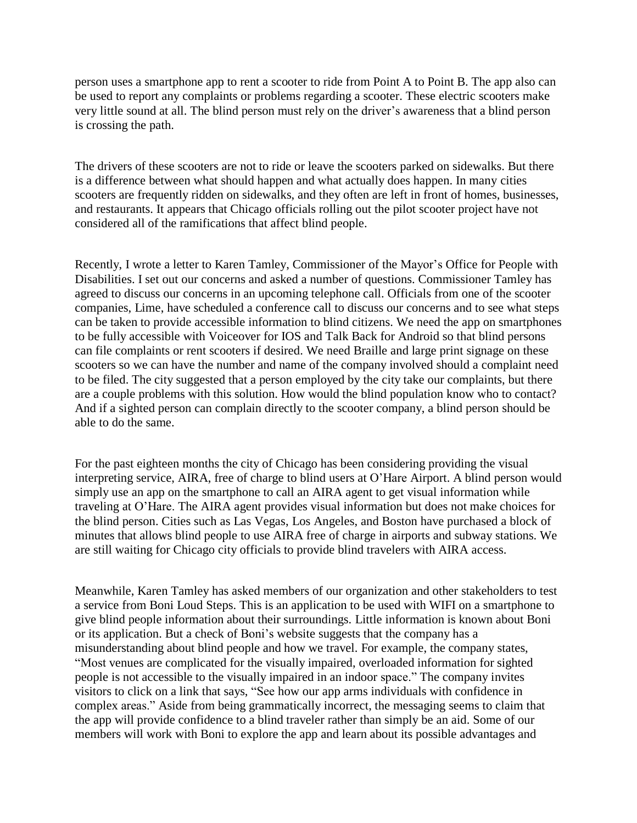person uses a smartphone app to rent a scooter to ride from Point A to Point B. The app also can be used to report any complaints or problems regarding a scooter. These electric scooters make very little sound at all. The blind person must rely on the driver's awareness that a blind person is crossing the path.

The drivers of these scooters are not to ride or leave the scooters parked on sidewalks. But there is a difference between what should happen and what actually does happen. In many cities scooters are frequently ridden on sidewalks, and they often are left in front of homes, businesses, and restaurants. It appears that Chicago officials rolling out the pilot scooter project have not considered all of the ramifications that affect blind people.

Recently, I wrote a letter to Karen Tamley, Commissioner of the Mayor's Office for People with Disabilities. I set out our concerns and asked a number of questions. Commissioner Tamley has agreed to discuss our concerns in an upcoming telephone call. Officials from one of the scooter companies, Lime, have scheduled a conference call to discuss our concerns and to see what steps can be taken to provide accessible information to blind citizens. We need the app on smartphones to be fully accessible with Voiceover for IOS and Talk Back for Android so that blind persons can file complaints or rent scooters if desired. We need Braille and large print signage on these scooters so we can have the number and name of the company involved should a complaint need to be filed. The city suggested that a person employed by the city take our complaints, but there are a couple problems with this solution. How would the blind population know who to contact? And if a sighted person can complain directly to the scooter company, a blind person should be able to do the same.

For the past eighteen months the city of Chicago has been considering providing the visual interpreting service, AIRA, free of charge to blind users at O'Hare Airport. A blind person would simply use an app on the smartphone to call an AIRA agent to get visual information while traveling at O'Hare. The AIRA agent provides visual information but does not make choices for the blind person. Cities such as Las Vegas, Los Angeles, and Boston have purchased a block of minutes that allows blind people to use AIRA free of charge in airports and subway stations. We are still waiting for Chicago city officials to provide blind travelers with AIRA access.

Meanwhile, Karen Tamley has asked members of our organization and other stakeholders to test a service from Boni Loud Steps. This is an application to be used with WIFI on a smartphone to give blind people information about their surroundings. Little information is known about Boni or its application. But a check of Boni's website suggests that the company has a misunderstanding about blind people and how we travel. For example, the company states, "Most venues are complicated for the visually impaired, overloaded information for sighted people is not accessible to the visually impaired in an indoor space." The company invites visitors to click on a link that says, "See how our app arms individuals with confidence in complex areas." Aside from being grammatically incorrect, the messaging seems to claim that the app will provide confidence to a blind traveler rather than simply be an aid. Some of our members will work with Boni to explore the app and learn about its possible advantages and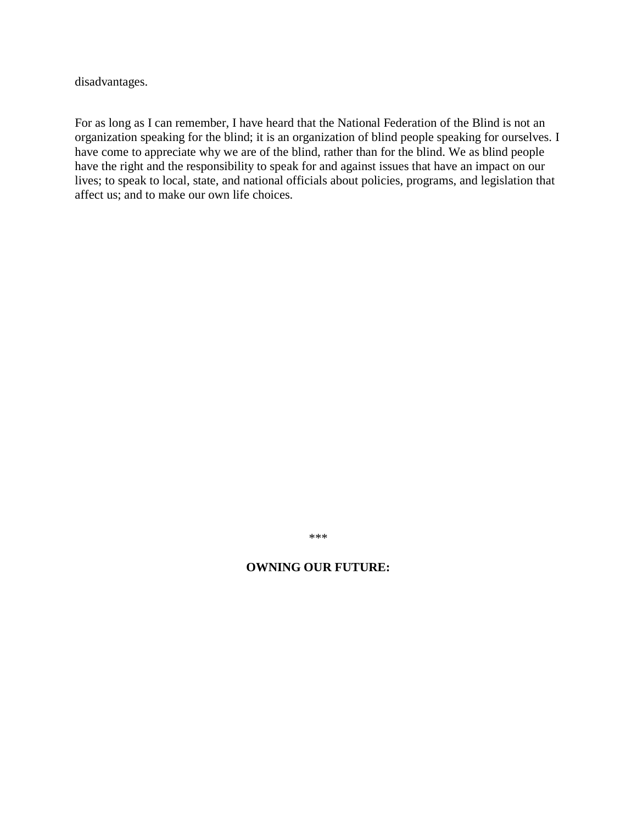disadvantages.

For as long as I can remember, I have heard that the National Federation of the Blind is not an organization speaking for the blind; it is an organization of blind people speaking for ourselves. I have come to appreciate why we are of the blind, rather than for the blind. We as blind people have the right and the responsibility to speak for and against issues that have an impact on our lives; to speak to local, state, and national officials about policies, programs, and legislation that affect us; and to make our own life choices.

\*\*\*

#### **OWNING OUR FUTURE:**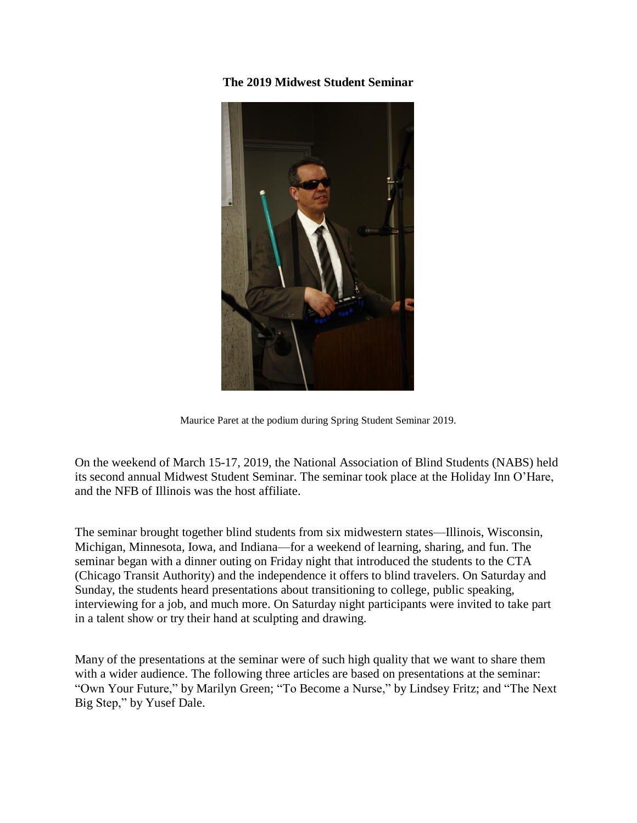**The 2019 Midwest Student Seminar**



Maurice Paret at the podium during Spring Student Seminar 2019.

On the weekend of March 15-17, 2019, the National Association of Blind Students (NABS) held its second annual Midwest Student Seminar. The seminar took place at the Holiday Inn O'Hare, and the NFB of Illinois was the host affiliate.

The seminar brought together blind students from six midwestern states—Illinois, Wisconsin, Michigan, Minnesota, Iowa, and Indiana—for a weekend of learning, sharing, and fun. The seminar began with a dinner outing on Friday night that introduced the students to the CTA (Chicago Transit Authority) and the independence it offers to blind travelers. On Saturday and Sunday, the students heard presentations about transitioning to college, public speaking, interviewing for a job, and much more. On Saturday night participants were invited to take part in a talent show or try their hand at sculpting and drawing.

Many of the presentations at the seminar were of such high quality that we want to share them with a wider audience. The following three articles are based on presentations at the seminar: "Own Your Future," by Marilyn Green; "To Become a Nurse," by Lindsey Fritz; and "The Next Big Step," by Yusef Dale.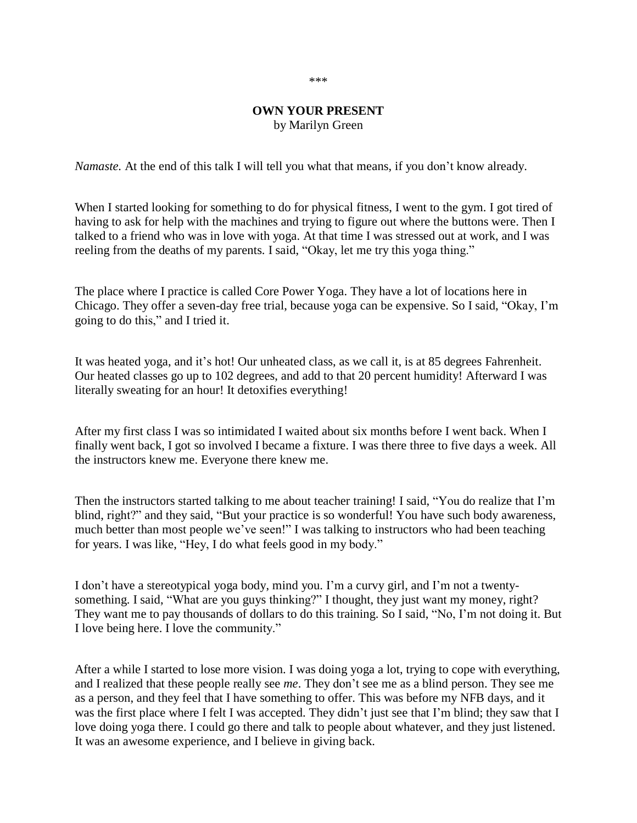#### \*\*\*

#### **OWN YOUR PRESENT** by Marilyn Green

*Namaste.* At the end of this talk I will tell you what that means, if you don't know already.

When I started looking for something to do for physical fitness, I went to the gym. I got tired of having to ask for help with the machines and trying to figure out where the buttons were. Then I talked to a friend who was in love with yoga. At that time I was stressed out at work, and I was reeling from the deaths of my parents. I said, "Okay, let me try this yoga thing."

The place where I practice is called Core Power Yoga. They have a lot of locations here in Chicago. They offer a seven-day free trial, because yoga can be expensive. So I said, "Okay, I'm going to do this," and I tried it.

It was heated yoga, and it's hot! Our unheated class, as we call it, is at 85 degrees Fahrenheit. Our heated classes go up to 102 degrees, and add to that 20 percent humidity! Afterward I was literally sweating for an hour! It detoxifies everything!

After my first class I was so intimidated I waited about six months before I went back. When I finally went back, I got so involved I became a fixture. I was there three to five days a week. All the instructors knew me. Everyone there knew me.

Then the instructors started talking to me about teacher training! I said, "You do realize that I'm blind, right?" and they said, "But your practice is so wonderful! You have such body awareness, much better than most people we've seen!" I was talking to instructors who had been teaching for years. I was like, "Hey, I do what feels good in my body."

I don't have a stereotypical yoga body, mind you. I'm a curvy girl, and I'm not a twentysomething. I said, "What are you guys thinking?" I thought, they just want my money, right? They want me to pay thousands of dollars to do this training. So I said, "No, I'm not doing it. But I love being here. I love the community."

After a while I started to lose more vision. I was doing yoga a lot, trying to cope with everything, and I realized that these people really see *me*. They don't see me as a blind person. They see me as a person, and they feel that I have something to offer. This was before my NFB days, and it was the first place where I felt I was accepted. They didn't just see that I'm blind; they saw that I love doing yoga there. I could go there and talk to people about whatever, and they just listened. It was an awesome experience, and I believe in giving back.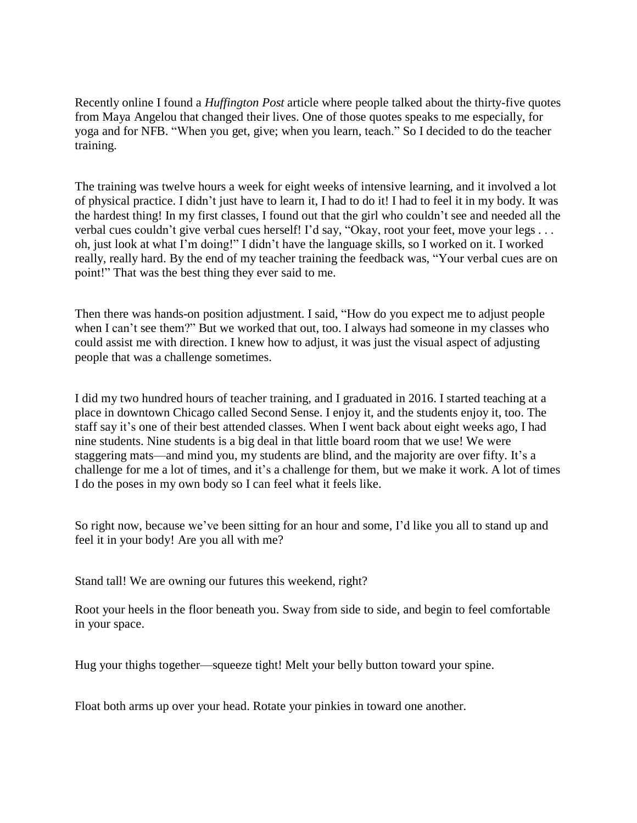Recently online I found a *Huffington Post* article where people talked about the thirty-five quotes from Maya Angelou that changed their lives. One of those quotes speaks to me especially, for yoga and for NFB. "When you get, give; when you learn, teach." So I decided to do the teacher training.

The training was twelve hours a week for eight weeks of intensive learning, and it involved a lot of physical practice. I didn't just have to learn it, I had to do it! I had to feel it in my body. It was the hardest thing! In my first classes, I found out that the girl who couldn't see and needed all the verbal cues couldn't give verbal cues herself! I'd say, "Okay, root your feet, move your legs . . . oh, just look at what I'm doing!" I didn't have the language skills, so I worked on it. I worked really, really hard. By the end of my teacher training the feedback was, "Your verbal cues are on point!" That was the best thing they ever said to me.

Then there was hands-on position adjustment. I said, "How do you expect me to adjust people when I can't see them?" But we worked that out, too. I always had someone in my classes who could assist me with direction. I knew how to adjust, it was just the visual aspect of adjusting people that was a challenge sometimes.

I did my two hundred hours of teacher training, and I graduated in 2016. I started teaching at a place in downtown Chicago called Second Sense. I enjoy it, and the students enjoy it, too. The staff say it's one of their best attended classes. When I went back about eight weeks ago, I had nine students. Nine students is a big deal in that little board room that we use! We were staggering mats—and mind you, my students are blind, and the majority are over fifty. It's a challenge for me a lot of times, and it's a challenge for them, but we make it work. A lot of times I do the poses in my own body so I can feel what it feels like.

So right now, because we've been sitting for an hour and some, I'd like you all to stand up and feel it in your body! Are you all with me?

Stand tall! We are owning our futures this weekend, right?

Root your heels in the floor beneath you. Sway from side to side, and begin to feel comfortable in your space.

Hug your thighs together—squeeze tight! Melt your belly button toward your spine.

Float both arms up over your head. Rotate your pinkies in toward one another.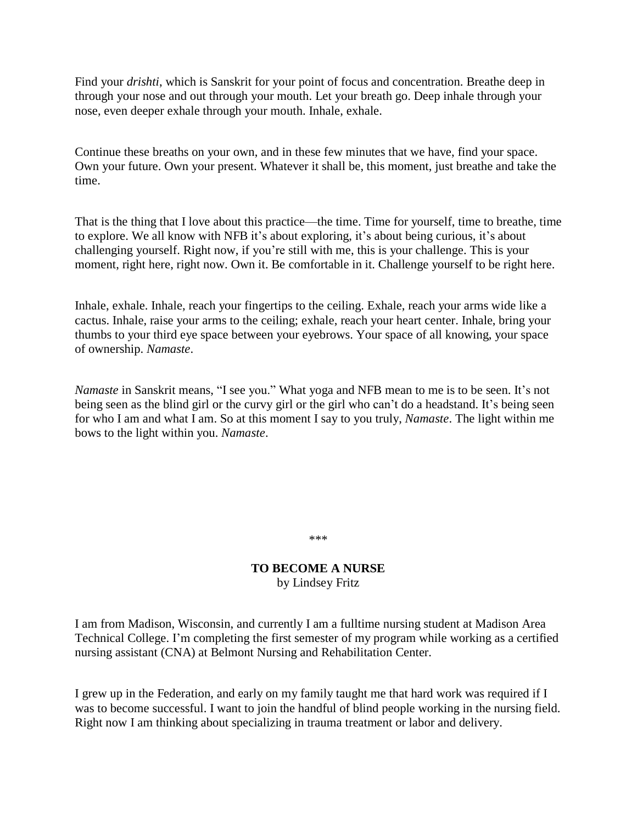Find your *drishti*, which is Sanskrit for your point of focus and concentration. Breathe deep in through your nose and out through your mouth. Let your breath go. Deep inhale through your nose, even deeper exhale through your mouth. Inhale, exhale.

Continue these breaths on your own, and in these few minutes that we have, find your space. Own your future. Own your present. Whatever it shall be, this moment, just breathe and take the time.

That is the thing that I love about this practice—the time. Time for yourself, time to breathe, time to explore. We all know with NFB it's about exploring, it's about being curious, it's about challenging yourself. Right now, if you're still with me, this is your challenge. This is your moment, right here, right now. Own it. Be comfortable in it. Challenge yourself to be right here.

Inhale, exhale. Inhale, reach your fingertips to the ceiling. Exhale, reach your arms wide like a cactus. Inhale, raise your arms to the ceiling; exhale, reach your heart center. Inhale, bring your thumbs to your third eye space between your eyebrows. Your space of all knowing, your space of ownership. *Namaste*.

*Namaste* in Sanskrit means, "I see you." What yoga and NFB mean to me is to be seen. It's not being seen as the blind girl or the curvy girl or the girl who can't do a headstand. It's being seen for who I am and what I am. So at this moment I say to you truly, *Namaste*. The light within me bows to the light within you. *Namaste*.

\*\*\*

### **TO BECOME A NURSE** by Lindsey Fritz

I am from Madison, Wisconsin, and currently I am a fulltime nursing student at Madison Area Technical College. I'm completing the first semester of my program while working as a certified nursing assistant (CNA) at Belmont Nursing and Rehabilitation Center.

I grew up in the Federation, and early on my family taught me that hard work was required if I was to become successful. I want to join the handful of blind people working in the nursing field. Right now I am thinking about specializing in trauma treatment or labor and delivery.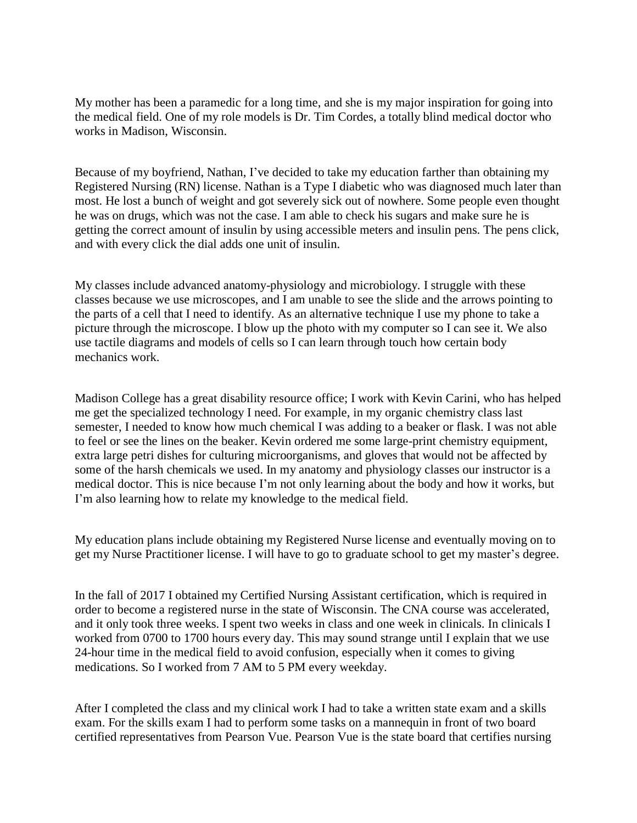My mother has been a paramedic for a long time, and she is my major inspiration for going into the medical field. One of my role models is Dr. Tim Cordes, a totally blind medical doctor who works in Madison, Wisconsin.

Because of my boyfriend, Nathan, I've decided to take my education farther than obtaining my Registered Nursing (RN) license. Nathan is a Type I diabetic who was diagnosed much later than most. He lost a bunch of weight and got severely sick out of nowhere. Some people even thought he was on drugs, which was not the case. I am able to check his sugars and make sure he is getting the correct amount of insulin by using accessible meters and insulin pens. The pens click, and with every click the dial adds one unit of insulin.

My classes include advanced anatomy-physiology and microbiology. I struggle with these classes because we use microscopes, and I am unable to see the slide and the arrows pointing to the parts of a cell that I need to identify. As an alternative technique I use my phone to take a picture through the microscope. I blow up the photo with my computer so I can see it. We also use tactile diagrams and models of cells so I can learn through touch how certain body mechanics work.

Madison College has a great disability resource office; I work with Kevin Carini, who has helped me get the specialized technology I need. For example, in my organic chemistry class last semester, I needed to know how much chemical I was adding to a beaker or flask. I was not able to feel or see the lines on the beaker. Kevin ordered me some large-print chemistry equipment, extra large petri dishes for culturing microorganisms, and gloves that would not be affected by some of the harsh chemicals we used. In my anatomy and physiology classes our instructor is a medical doctor. This is nice because I'm not only learning about the body and how it works, but I'm also learning how to relate my knowledge to the medical field.

My education plans include obtaining my Registered Nurse license and eventually moving on to get my Nurse Practitioner license. I will have to go to graduate school to get my master's degree.

In the fall of 2017 I obtained my Certified Nursing Assistant certification, which is required in order to become a registered nurse in the state of Wisconsin. The CNA course was accelerated, and it only took three weeks. I spent two weeks in class and one week in clinicals. In clinicals I worked from 0700 to 1700 hours every day. This may sound strange until I explain that we use 24-hour time in the medical field to avoid confusion, especially when it comes to giving medications. So I worked from 7 AM to 5 PM every weekday.

After I completed the class and my clinical work I had to take a written state exam and a skills exam. For the skills exam I had to perform some tasks on a mannequin in front of two board certified representatives from Pearson Vue. Pearson Vue is the state board that certifies nursing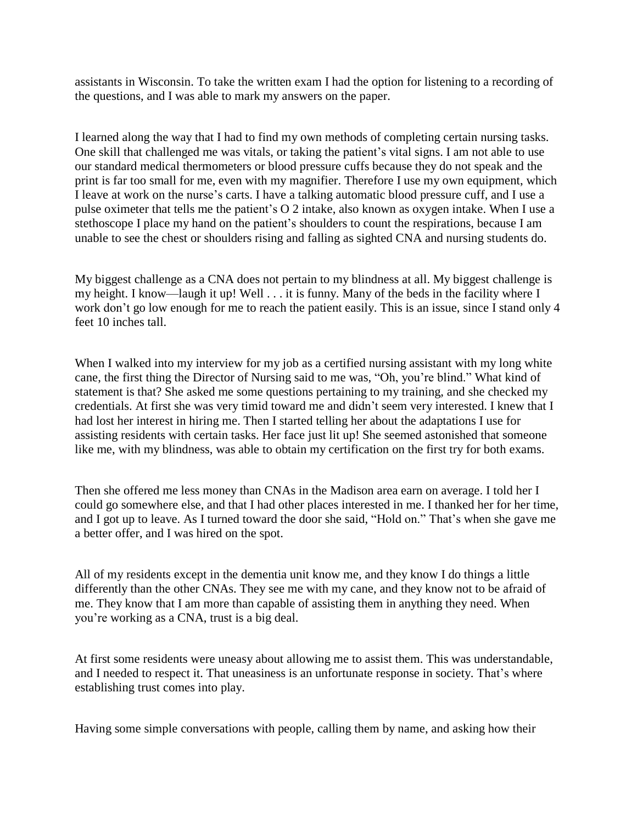assistants in Wisconsin. To take the written exam I had the option for listening to a recording of the questions, and I was able to mark my answers on the paper.

I learned along the way that I had to find my own methods of completing certain nursing tasks. One skill that challenged me was vitals, or taking the patient's vital signs. I am not able to use our standard medical thermometers or blood pressure cuffs because they do not speak and the print is far too small for me, even with my magnifier. Therefore I use my own equipment, which I leave at work on the nurse's carts. I have a talking automatic blood pressure cuff, and I use a pulse oximeter that tells me the patient's O 2 intake, also known as oxygen intake. When I use a stethoscope I place my hand on the patient's shoulders to count the respirations, because I am unable to see the chest or shoulders rising and falling as sighted CNA and nursing students do.

My biggest challenge as a CNA does not pertain to my blindness at all. My biggest challenge is my height. I know—laugh it up! Well . . . it is funny. Many of the beds in the facility where I work don't go low enough for me to reach the patient easily. This is an issue, since I stand only 4 feet 10 inches tall.

When I walked into my interview for my job as a certified nursing assistant with my long white cane, the first thing the Director of Nursing said to me was, "Oh, you're blind." What kind of statement is that? She asked me some questions pertaining to my training, and she checked my credentials. At first she was very timid toward me and didn't seem very interested. I knew that I had lost her interest in hiring me. Then I started telling her about the adaptations I use for assisting residents with certain tasks. Her face just lit up! She seemed astonished that someone like me, with my blindness, was able to obtain my certification on the first try for both exams.

Then she offered me less money than CNAs in the Madison area earn on average. I told her I could go somewhere else, and that I had other places interested in me. I thanked her for her time, and I got up to leave. As I turned toward the door she said, "Hold on." That's when she gave me a better offer, and I was hired on the spot.

All of my residents except in the dementia unit know me, and they know I do things a little differently than the other CNAs. They see me with my cane, and they know not to be afraid of me. They know that I am more than capable of assisting them in anything they need. When you're working as a CNA, trust is a big deal.

At first some residents were uneasy about allowing me to assist them. This was understandable, and I needed to respect it. That uneasiness is an unfortunate response in society. That's where establishing trust comes into play.

Having some simple conversations with people, calling them by name, and asking how their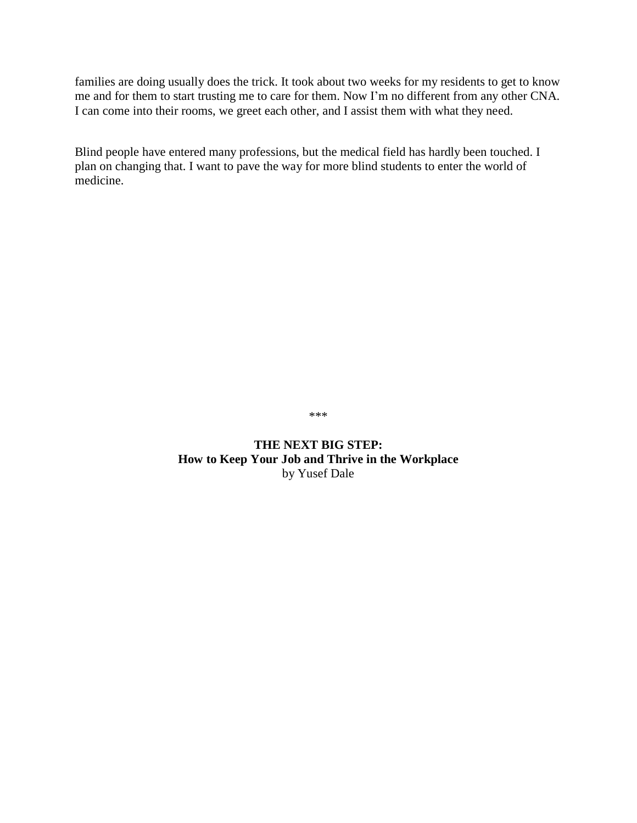families are doing usually does the trick. It took about two weeks for my residents to get to know me and for them to start trusting me to care for them. Now I'm no different from any other CNA. I can come into their rooms, we greet each other, and I assist them with what they need.

Blind people have entered many professions, but the medical field has hardly been touched. I plan on changing that. I want to pave the way for more blind students to enter the world of medicine.

\*\*\*

**THE NEXT BIG STEP: How to Keep Your Job and Thrive in the Workplace** by Yusef Dale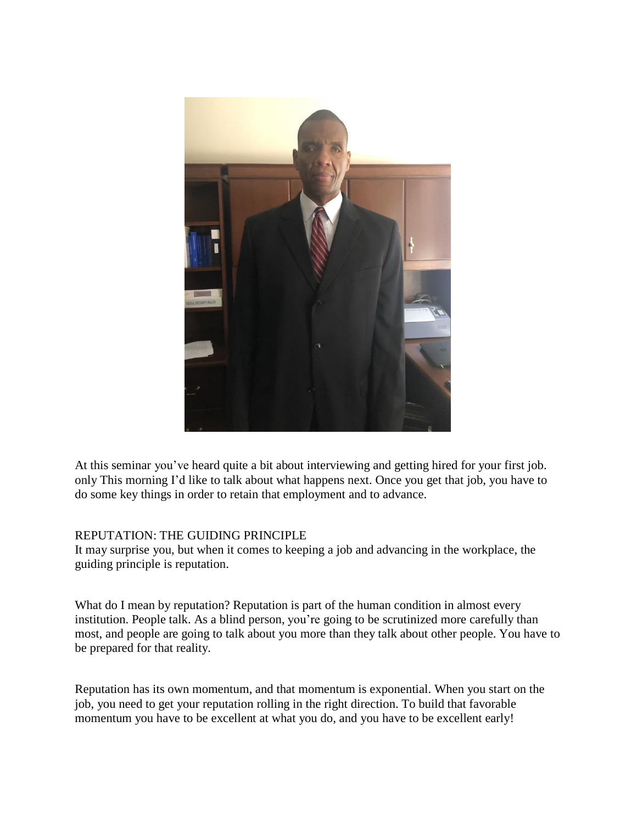

At this seminar you've heard quite a bit about interviewing and getting hired for your first job. only This morning I'd like to talk about what happens next. Once you get that job, you have to do some key things in order to retain that employment and to advance.

# REPUTATION: THE GUIDING PRINCIPLE

It may surprise you, but when it comes to keeping a job and advancing in the workplace, the guiding principle is reputation.

What do I mean by reputation? Reputation is part of the human condition in almost every institution. People talk. As a blind person, you're going to be scrutinized more carefully than most, and people are going to talk about you more than they talk about other people. You have to be prepared for that reality.

Reputation has its own momentum, and that momentum is exponential. When you start on the job, you need to get your reputation rolling in the right direction. To build that favorable momentum you have to be excellent at what you do, and you have to be excellent early!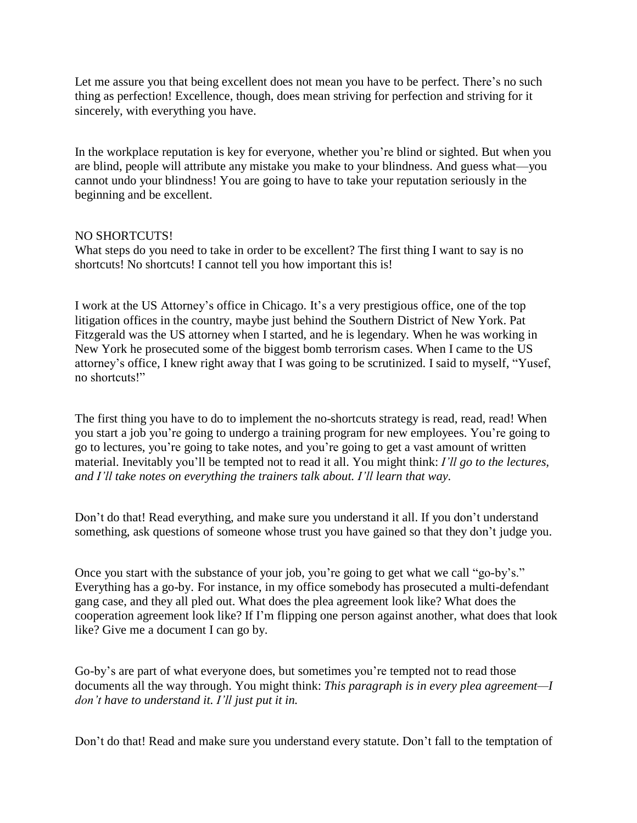Let me assure you that being excellent does not mean you have to be perfect. There's no such thing as perfection! Excellence, though, does mean striving for perfection and striving for it sincerely, with everything you have.

In the workplace reputation is key for everyone, whether you're blind or sighted. But when you are blind, people will attribute any mistake you make to your blindness. And guess what—you cannot undo your blindness! You are going to have to take your reputation seriously in the beginning and be excellent.

### NO SHORTCUTS!

What steps do you need to take in order to be excellent? The first thing I want to say is no shortcuts! No shortcuts! I cannot tell you how important this is!

I work at the US Attorney's office in Chicago. It's a very prestigious office, one of the top litigation offices in the country, maybe just behind the Southern District of New York. Pat Fitzgerald was the US attorney when I started, and he is legendary. When he was working in New York he prosecuted some of the biggest bomb terrorism cases. When I came to the US attorney's office, I knew right away that I was going to be scrutinized. I said to myself, "Yusef, no shortcuts!"

The first thing you have to do to implement the no-shortcuts strategy is read, read, read! When you start a job you're going to undergo a training program for new employees. You're going to go to lectures, you're going to take notes, and you're going to get a vast amount of written material. Inevitably you'll be tempted not to read it all. You might think: *I'll go to the lectures, and I'll take notes on everything the trainers talk about. I'll learn that way.*

Don't do that! Read everything, and make sure you understand it all. If you don't understand something, ask questions of someone whose trust you have gained so that they don't judge you.

Once you start with the substance of your job, you're going to get what we call "go-by's." Everything has a go-by. For instance, in my office somebody has prosecuted a multi-defendant gang case, and they all pled out. What does the plea agreement look like? What does the cooperation agreement look like? If I'm flipping one person against another, what does that look like? Give me a document I can go by.

Go-by's are part of what everyone does, but sometimes you're tempted not to read those documents all the way through. You might think: *This paragraph is in every plea agreement—I don't have to understand it. I'll just put it in.*

Don't do that! Read and make sure you understand every statute. Don't fall to the temptation of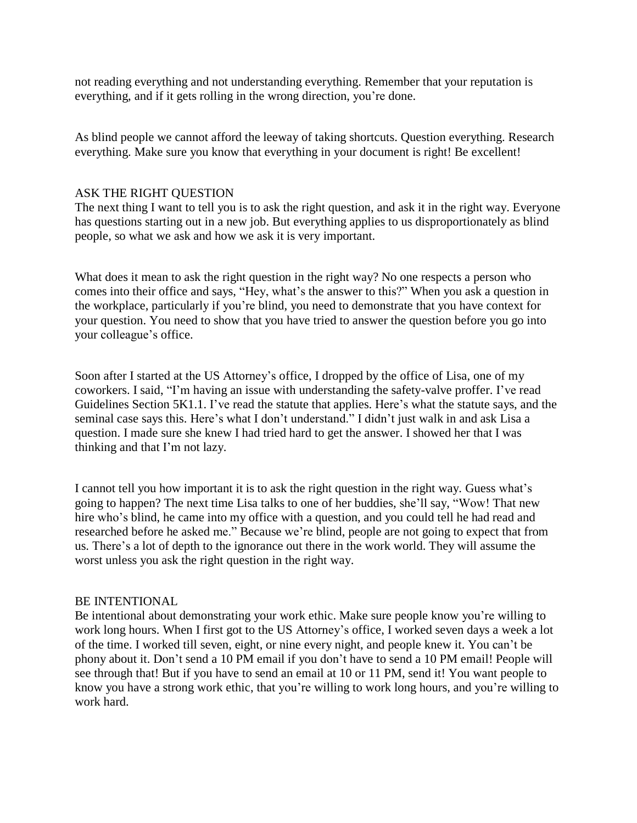not reading everything and not understanding everything. Remember that your reputation is everything, and if it gets rolling in the wrong direction, you're done.

As blind people we cannot afford the leeway of taking shortcuts. Question everything. Research everything. Make sure you know that everything in your document is right! Be excellent!

#### ASK THE RIGHT QUESTION

The next thing I want to tell you is to ask the right question, and ask it in the right way. Everyone has questions starting out in a new job. But everything applies to us disproportionately as blind people, so what we ask and how we ask it is very important.

What does it mean to ask the right question in the right way? No one respects a person who comes into their office and says, "Hey, what's the answer to this?" When you ask a question in the workplace, particularly if you're blind, you need to demonstrate that you have context for your question. You need to show that you have tried to answer the question before you go into your colleague's office.

Soon after I started at the US Attorney's office, I dropped by the office of Lisa, one of my coworkers. I said, "I'm having an issue with understanding the safety-valve proffer. I've read Guidelines Section 5K1.1. I've read the statute that applies. Here's what the statute says, and the seminal case says this. Here's what I don't understand." I didn't just walk in and ask Lisa a question. I made sure she knew I had tried hard to get the answer. I showed her that I was thinking and that I'm not lazy.

I cannot tell you how important it is to ask the right question in the right way. Guess what's going to happen? The next time Lisa talks to one of her buddies, she'll say, "Wow! That new hire who's blind, he came into my office with a question, and you could tell he had read and researched before he asked me." Because we're blind, people are not going to expect that from us. There's a lot of depth to the ignorance out there in the work world. They will assume the worst unless you ask the right question in the right way.

### BE INTENTIONAL

Be intentional about demonstrating your work ethic. Make sure people know you're willing to work long hours. When I first got to the US Attorney's office, I worked seven days a week a lot of the time. I worked till seven, eight, or nine every night, and people knew it. You can't be phony about it. Don't send a 10 PM email if you don't have to send a 10 PM email! People will see through that! But if you have to send an email at 10 or 11 PM, send it! You want people to know you have a strong work ethic, that you're willing to work long hours, and you're willing to work hard.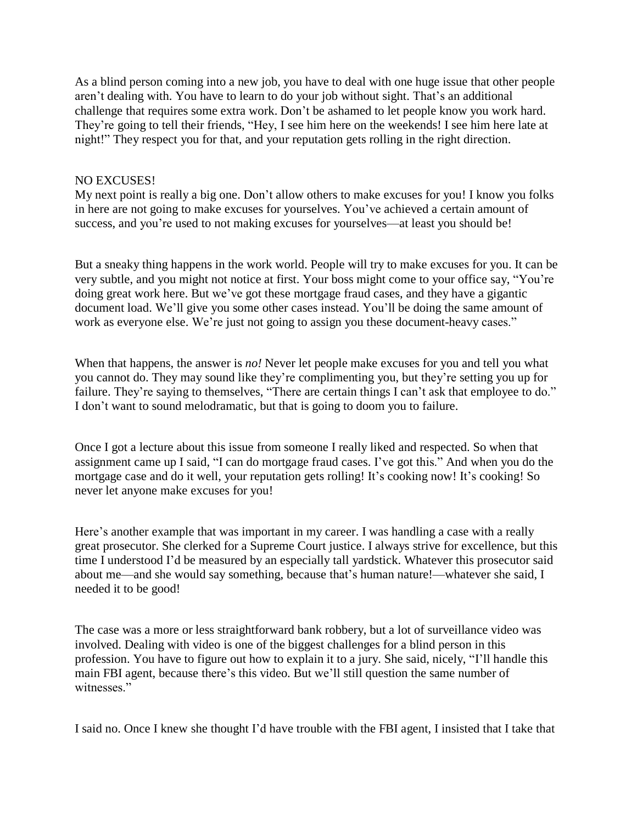As a blind person coming into a new job, you have to deal with one huge issue that other people aren't dealing with. You have to learn to do your job without sight. That's an additional challenge that requires some extra work. Don't be ashamed to let people know you work hard. They're going to tell their friends, "Hey, I see him here on the weekends! I see him here late at night!" They respect you for that, and your reputation gets rolling in the right direction.

#### NO EXCUSES!

My next point is really a big one. Don't allow others to make excuses for you! I know you folks in here are not going to make excuses for yourselves. You've achieved a certain amount of success, and you're used to not making excuses for yourselves—at least you should be!

But a sneaky thing happens in the work world. People will try to make excuses for you. It can be very subtle, and you might not notice at first. Your boss might come to your office say, "You're doing great work here. But we've got these mortgage fraud cases, and they have a gigantic document load. We'll give you some other cases instead. You'll be doing the same amount of work as everyone else. We're just not going to assign you these document-heavy cases."

When that happens, the answer is *no!* Never let people make excuses for you and tell you what you cannot do. They may sound like they're complimenting you, but they're setting you up for failure. They're saying to themselves, "There are certain things I can't ask that employee to do." I don't want to sound melodramatic, but that is going to doom you to failure.

Once I got a lecture about this issue from someone I really liked and respected. So when that assignment came up I said, "I can do mortgage fraud cases. I've got this." And when you do the mortgage case and do it well, your reputation gets rolling! It's cooking now! It's cooking! So never let anyone make excuses for you!

Here's another example that was important in my career. I was handling a case with a really great prosecutor. She clerked for a Supreme Court justice. I always strive for excellence, but this time I understood I'd be measured by an especially tall yardstick. Whatever this prosecutor said about me—and she would say something, because that's human nature!—whatever she said, I needed it to be good!

The case was a more or less straightforward bank robbery, but a lot of surveillance video was involved. Dealing with video is one of the biggest challenges for a blind person in this profession. You have to figure out how to explain it to a jury. She said, nicely, "I'll handle this main FBI agent, because there's this video. But we'll still question the same number of witnesses."

I said no. Once I knew she thought I'd have trouble with the FBI agent, I insisted that I take that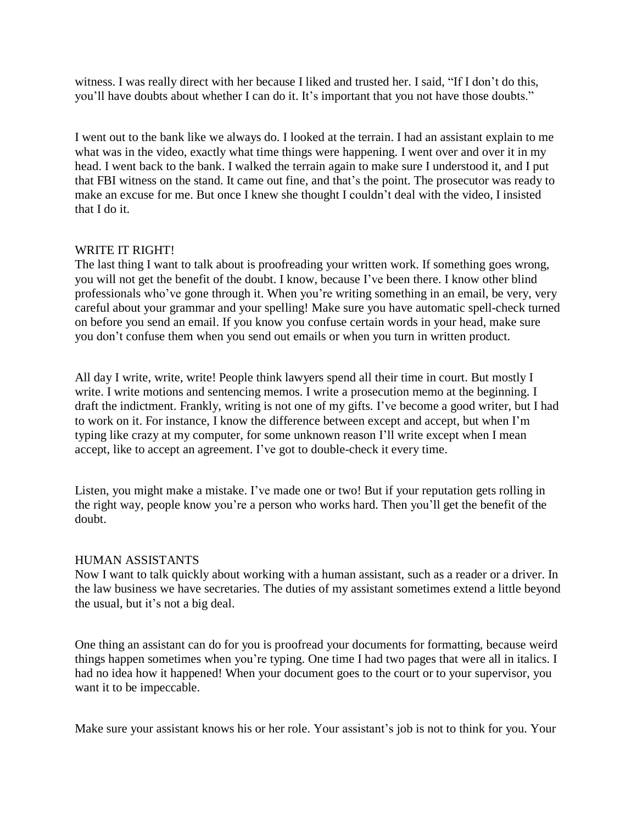witness. I was really direct with her because I liked and trusted her. I said, "If I don't do this, you'll have doubts about whether I can do it. It's important that you not have those doubts."

I went out to the bank like we always do. I looked at the terrain. I had an assistant explain to me what was in the video, exactly what time things were happening. I went over and over it in my head. I went back to the bank. I walked the terrain again to make sure I understood it, and I put that FBI witness on the stand. It came out fine, and that's the point. The prosecutor was ready to make an excuse for me. But once I knew she thought I couldn't deal with the video, I insisted that I do it.

#### WRITE IT RIGHT!

The last thing I want to talk about is proofreading your written work. If something goes wrong, you will not get the benefit of the doubt. I know, because I've been there. I know other blind professionals who've gone through it. When you're writing something in an email, be very, very careful about your grammar and your spelling! Make sure you have automatic spell-check turned on before you send an email. If you know you confuse certain words in your head, make sure you don't confuse them when you send out emails or when you turn in written product.

All day I write, write, write! People think lawyers spend all their time in court. But mostly I write. I write motions and sentencing memos. I write a prosecution memo at the beginning. I draft the indictment. Frankly, writing is not one of my gifts. I've become a good writer, but I had to work on it. For instance, I know the difference between except and accept, but when I'm typing like crazy at my computer, for some unknown reason I'll write except when I mean accept, like to accept an agreement. I've got to double-check it every time.

Listen, you might make a mistake. I've made one or two! But if your reputation gets rolling in the right way, people know you're a person who works hard. Then you'll get the benefit of the doubt.

#### HUMAN ASSISTANTS

Now I want to talk quickly about working with a human assistant, such as a reader or a driver. In the law business we have secretaries. The duties of my assistant sometimes extend a little beyond the usual, but it's not a big deal.

One thing an assistant can do for you is proofread your documents for formatting, because weird things happen sometimes when you're typing. One time I had two pages that were all in italics. I had no idea how it happened! When your document goes to the court or to your supervisor, you want it to be impeccable.

Make sure your assistant knows his or her role. Your assistant's job is not to think for you. Your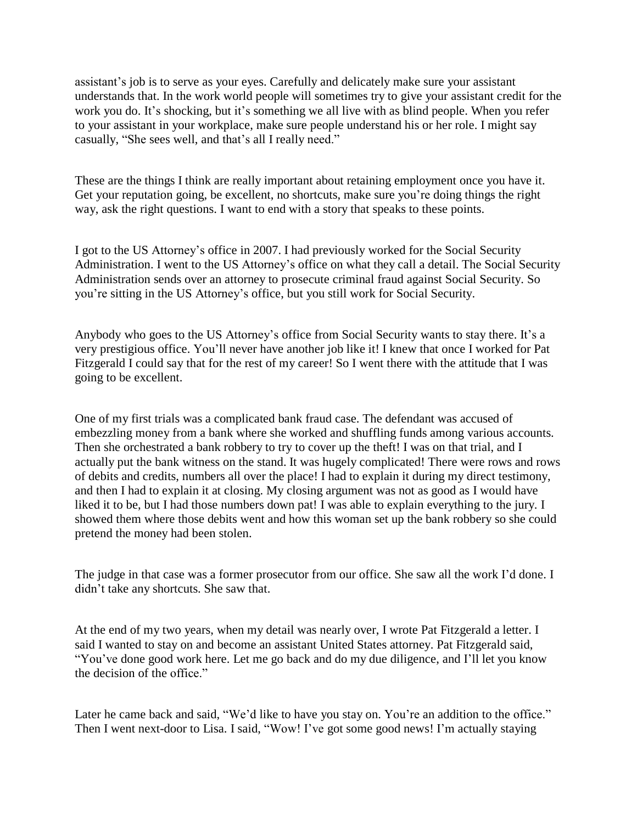assistant's job is to serve as your eyes. Carefully and delicately make sure your assistant understands that. In the work world people will sometimes try to give your assistant credit for the work you do. It's shocking, but it's something we all live with as blind people. When you refer to your assistant in your workplace, make sure people understand his or her role. I might say casually, "She sees well, and that's all I really need."

These are the things I think are really important about retaining employment once you have it. Get your reputation going, be excellent, no shortcuts, make sure you're doing things the right way, ask the right questions. I want to end with a story that speaks to these points.

I got to the US Attorney's office in 2007. I had previously worked for the Social Security Administration. I went to the US Attorney's office on what they call a detail. The Social Security Administration sends over an attorney to prosecute criminal fraud against Social Security. So you're sitting in the US Attorney's office, but you still work for Social Security.

Anybody who goes to the US Attorney's office from Social Security wants to stay there. It's a very prestigious office. You'll never have another job like it! I knew that once I worked for Pat Fitzgerald I could say that for the rest of my career! So I went there with the attitude that I was going to be excellent.

One of my first trials was a complicated bank fraud case. The defendant was accused of embezzling money from a bank where she worked and shuffling funds among various accounts. Then she orchestrated a bank robbery to try to cover up the theft! I was on that trial, and I actually put the bank witness on the stand. It was hugely complicated! There were rows and rows of debits and credits, numbers all over the place! I had to explain it during my direct testimony, and then I had to explain it at closing. My closing argument was not as good as I would have liked it to be, but I had those numbers down pat! I was able to explain everything to the jury. I showed them where those debits went and how this woman set up the bank robbery so she could pretend the money had been stolen.

The judge in that case was a former prosecutor from our office. She saw all the work I'd done. I didn't take any shortcuts. She saw that.

At the end of my two years, when my detail was nearly over, I wrote Pat Fitzgerald a letter. I said I wanted to stay on and become an assistant United States attorney. Pat Fitzgerald said, "You've done good work here. Let me go back and do my due diligence, and I'll let you know the decision of the office."

Later he came back and said, "We'd like to have you stay on. You're an addition to the office." Then I went next-door to Lisa. I said, "Wow! I've got some good news! I'm actually staying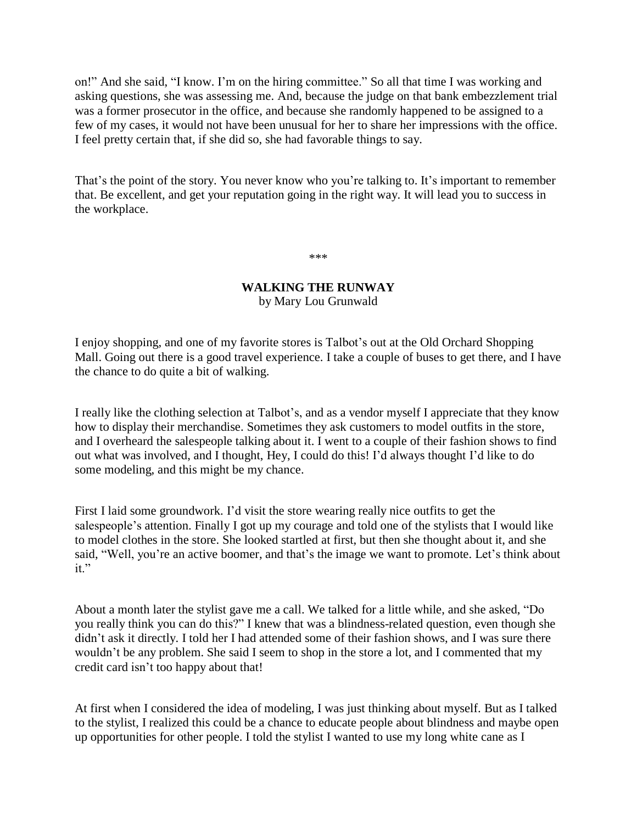on!" And she said, "I know. I'm on the hiring committee." So all that time I was working and asking questions, she was assessing me. And, because the judge on that bank embezzlement trial was a former prosecutor in the office, and because she randomly happened to be assigned to a few of my cases, it would not have been unusual for her to share her impressions with the office. I feel pretty certain that, if she did so, she had favorable things to say.

That's the point of the story. You never know who you're talking to. It's important to remember that. Be excellent, and get your reputation going in the right way. It will lead you to success in the workplace.

\*\*\*

### **WALKING THE RUNWAY** by Mary Lou Grunwald

I enjoy shopping, and one of my favorite stores is Talbot's out at the Old Orchard Shopping Mall. Going out there is a good travel experience. I take a couple of buses to get there, and I have the chance to do quite a bit of walking.

I really like the clothing selection at Talbot's, and as a vendor myself I appreciate that they know how to display their merchandise. Sometimes they ask customers to model outfits in the store, and I overheard the salespeople talking about it. I went to a couple of their fashion shows to find out what was involved, and I thought, Hey, I could do this! I'd always thought I'd like to do some modeling, and this might be my chance.

First I laid some groundwork. I'd visit the store wearing really nice outfits to get the salespeople's attention. Finally I got up my courage and told one of the stylists that I would like to model clothes in the store. She looked startled at first, but then she thought about it, and she said, "Well, you're an active boomer, and that's the image we want to promote. Let's think about it."

About a month later the stylist gave me a call. We talked for a little while, and she asked, "Do you really think you can do this?" I knew that was a blindness-related question, even though she didn't ask it directly. I told her I had attended some of their fashion shows, and I was sure there wouldn't be any problem. She said I seem to shop in the store a lot, and I commented that my credit card isn't too happy about that!

At first when I considered the idea of modeling, I was just thinking about myself. But as I talked to the stylist, I realized this could be a chance to educate people about blindness and maybe open up opportunities for other people. I told the stylist I wanted to use my long white cane as I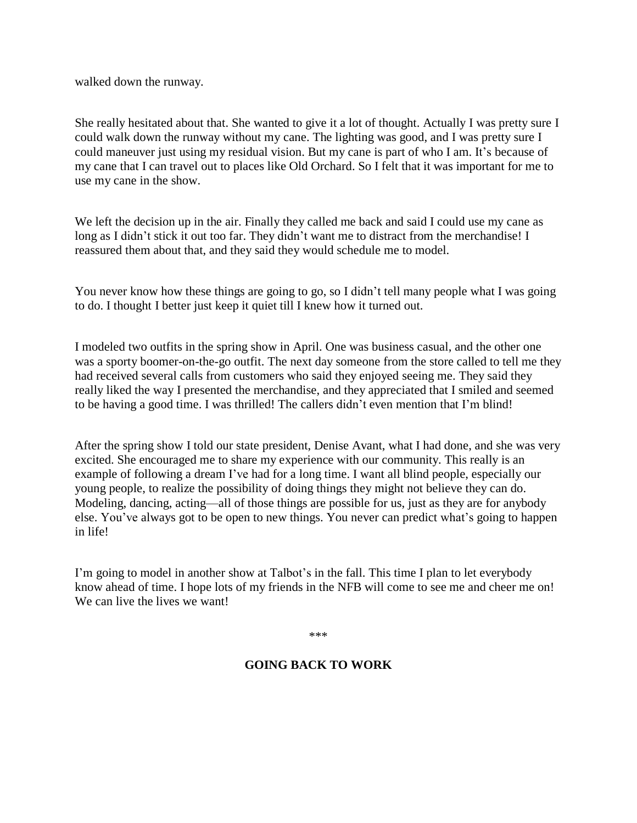walked down the runway.

She really hesitated about that. She wanted to give it a lot of thought. Actually I was pretty sure I could walk down the runway without my cane. The lighting was good, and I was pretty sure I could maneuver just using my residual vision. But my cane is part of who I am. It's because of my cane that I can travel out to places like Old Orchard. So I felt that it was important for me to use my cane in the show.

We left the decision up in the air. Finally they called me back and said I could use my cane as long as I didn't stick it out too far. They didn't want me to distract from the merchandise! I reassured them about that, and they said they would schedule me to model.

You never know how these things are going to go, so I didn't tell many people what I was going to do. I thought I better just keep it quiet till I knew how it turned out.

I modeled two outfits in the spring show in April. One was business casual, and the other one was a sporty boomer-on-the-go outfit. The next day someone from the store called to tell me they had received several calls from customers who said they enjoyed seeing me. They said they really liked the way I presented the merchandise, and they appreciated that I smiled and seemed to be having a good time. I was thrilled! The callers didn't even mention that I'm blind!

After the spring show I told our state president, Denise Avant, what I had done, and she was very excited. She encouraged me to share my experience with our community. This really is an example of following a dream I've had for a long time. I want all blind people, especially our young people, to realize the possibility of doing things they might not believe they can do. Modeling, dancing, acting—all of those things are possible for us, just as they are for anybody else. You've always got to be open to new things. You never can predict what's going to happen in life!

I'm going to model in another show at Talbot's in the fall. This time I plan to let everybody know ahead of time. I hope lots of my friends in the NFB will come to see me and cheer me on! We can live the lives we want!

\*\*\*

# **GOING BACK TO WORK**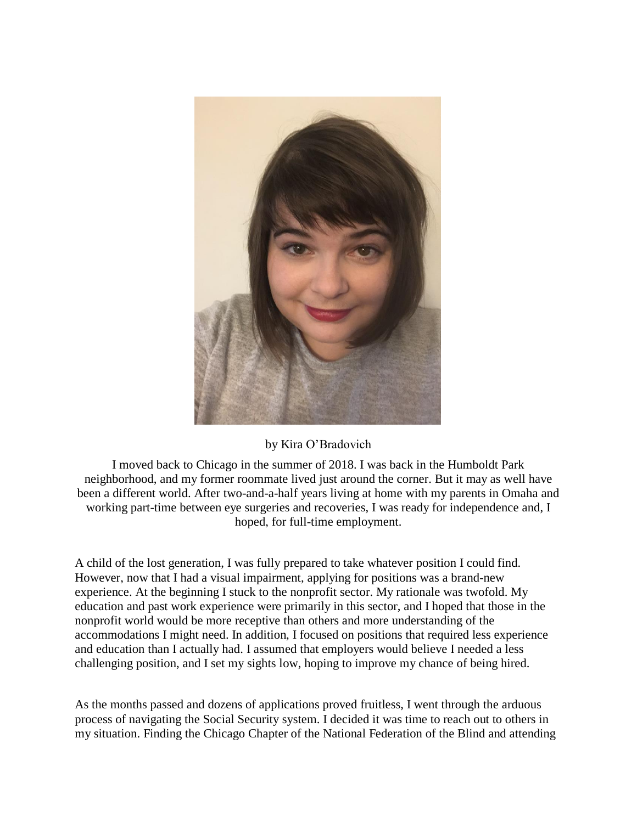

# by Kira O'Bradovich

I moved back to Chicago in the summer of 2018. I was back in the Humboldt Park neighborhood, and my former roommate lived just around the corner. But it may as well have been a different world. After two-and-a-half years living at home with my parents in Omaha and working part-time between eye surgeries and recoveries, I was ready for independence and, I hoped, for full-time employment.

A child of the lost generation, I was fully prepared to take whatever position I could find. However, now that I had a visual impairment, applying for positions was a brand-new experience. At the beginning I stuck to the nonprofit sector. My rationale was twofold. My education and past work experience were primarily in this sector, and I hoped that those in the nonprofit world would be more receptive than others and more understanding of the accommodations I might need. In addition, I focused on positions that required less experience and education than I actually had. I assumed that employers would believe I needed a less challenging position, and I set my sights low, hoping to improve my chance of being hired.

As the months passed and dozens of applications proved fruitless, I went through the arduous process of navigating the Social Security system. I decided it was time to reach out to others in my situation. Finding the Chicago Chapter of the National Federation of the Blind and attending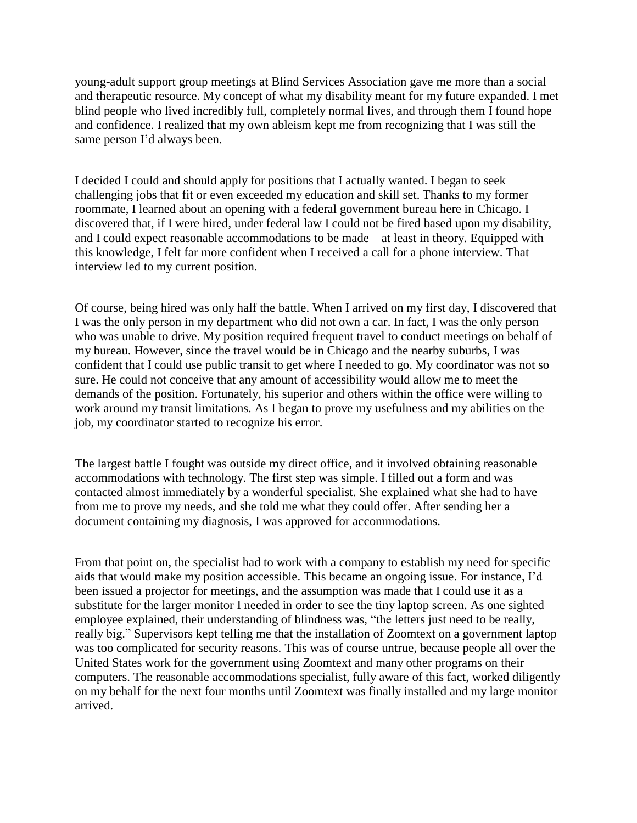young-adult support group meetings at Blind Services Association gave me more than a social and therapeutic resource. My concept of what my disability meant for my future expanded. I met blind people who lived incredibly full, completely normal lives, and through them I found hope and confidence. I realized that my own ableism kept me from recognizing that I was still the same person I'd always been.

I decided I could and should apply for positions that I actually wanted. I began to seek challenging jobs that fit or even exceeded my education and skill set. Thanks to my former roommate, I learned about an opening with a federal government bureau here in Chicago. I discovered that, if I were hired, under federal law I could not be fired based upon my disability, and I could expect reasonable accommodations to be made—at least in theory. Equipped with this knowledge, I felt far more confident when I received a call for a phone interview. That interview led to my current position.

Of course, being hired was only half the battle. When I arrived on my first day, I discovered that I was the only person in my department who did not own a car. In fact, I was the only person who was unable to drive. My position required frequent travel to conduct meetings on behalf of my bureau. However, since the travel would be in Chicago and the nearby suburbs, I was confident that I could use public transit to get where I needed to go. My coordinator was not so sure. He could not conceive that any amount of accessibility would allow me to meet the demands of the position. Fortunately, his superior and others within the office were willing to work around my transit limitations. As I began to prove my usefulness and my abilities on the job, my coordinator started to recognize his error.

The largest battle I fought was outside my direct office, and it involved obtaining reasonable accommodations with technology. The first step was simple. I filled out a form and was contacted almost immediately by a wonderful specialist. She explained what she had to have from me to prove my needs, and she told me what they could offer. After sending her a document containing my diagnosis, I was approved for accommodations.

From that point on, the specialist had to work with a company to establish my need for specific aids that would make my position accessible. This became an ongoing issue. For instance, I'd been issued a projector for meetings, and the assumption was made that I could use it as a substitute for the larger monitor I needed in order to see the tiny laptop screen. As one sighted employee explained, their understanding of blindness was, "the letters just need to be really, really big." Supervisors kept telling me that the installation of Zoomtext on a government laptop was too complicated for security reasons. This was of course untrue, because people all over the United States work for the government using Zoomtext and many other programs on their computers. The reasonable accommodations specialist, fully aware of this fact, worked diligently on my behalf for the next four months until Zoomtext was finally installed and my large monitor arrived.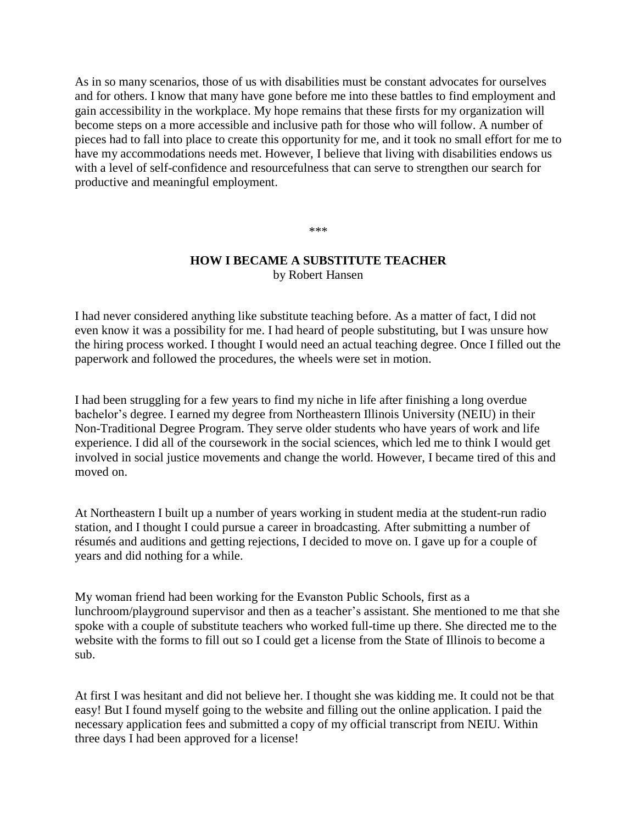As in so many scenarios, those of us with disabilities must be constant advocates for ourselves and for others. I know that many have gone before me into these battles to find employment and gain accessibility in the workplace. My hope remains that these firsts for my organization will become steps on a more accessible and inclusive path for those who will follow. A number of pieces had to fall into place to create this opportunity for me, and it took no small effort for me to have my accommodations needs met. However, I believe that living with disabilities endows us with a level of self-confidence and resourcefulness that can serve to strengthen our search for productive and meaningful employment.

#### \*\*\*

### **HOW I BECAME A SUBSTITUTE TEACHER** by Robert Hansen

I had never considered anything like substitute teaching before. As a matter of fact, I did not even know it was a possibility for me. I had heard of people substituting, but I was unsure how the hiring process worked. I thought I would need an actual teaching degree. Once I filled out the paperwork and followed the procedures, the wheels were set in motion.

I had been struggling for a few years to find my niche in life after finishing a long overdue bachelor's degree. I earned my degree from Northeastern Illinois University (NEIU) in their Non-Traditional Degree Program. They serve older students who have years of work and life experience. I did all of the coursework in the social sciences, which led me to think I would get involved in social justice movements and change the world. However, I became tired of this and moved on.

At Northeastern I built up a number of years working in student media at the student-run radio station, and I thought I could pursue a career in broadcasting. After submitting a number of résumés and auditions and getting rejections, I decided to move on. I gave up for a couple of years and did nothing for a while.

My woman friend had been working for the Evanston Public Schools, first as a lunchroom/playground supervisor and then as a teacher's assistant. She mentioned to me that she spoke with a couple of substitute teachers who worked full-time up there. She directed me to the website with the forms to fill out so I could get a license from the State of Illinois to become a sub.

At first I was hesitant and did not believe her. I thought she was kidding me. It could not be that easy! But I found myself going to the website and filling out the online application. I paid the necessary application fees and submitted a copy of my official transcript from NEIU. Within three days I had been approved for a license!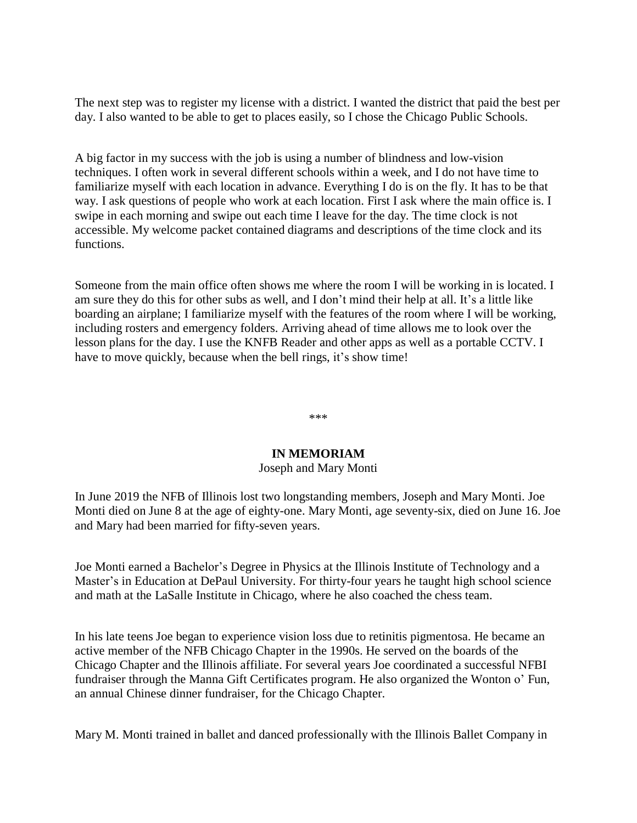The next step was to register my license with a district. I wanted the district that paid the best per day. I also wanted to be able to get to places easily, so I chose the Chicago Public Schools.

A big factor in my success with the job is using a number of blindness and low-vision techniques. I often work in several different schools within a week, and I do not have time to familiarize myself with each location in advance. Everything I do is on the fly. It has to be that way. I ask questions of people who work at each location. First I ask where the main office is. I swipe in each morning and swipe out each time I leave for the day. The time clock is not accessible. My welcome packet contained diagrams and descriptions of the time clock and its functions.

Someone from the main office often shows me where the room I will be working in is located. I am sure they do this for other subs as well, and I don't mind their help at all. It's a little like boarding an airplane; I familiarize myself with the features of the room where I will be working, including rosters and emergency folders. Arriving ahead of time allows me to look over the lesson plans for the day. I use the KNFB Reader and other apps as well as a portable CCTV. I have to move quickly, because when the bell rings, it's show time!

\*\*\*

### **IN MEMORIAM**

## Joseph and Mary Monti

In June 2019 the NFB of Illinois lost two longstanding members, Joseph and Mary Monti. Joe Monti died on June 8 at the age of eighty-one. Mary Monti, age seventy-six, died on June 16. Joe and Mary had been married for fifty-seven years.

Joe Monti earned a Bachelor's Degree in Physics at the Illinois Institute of Technology and a Master's in Education at DePaul University. For thirty-four years he taught high school science and math at the LaSalle Institute in Chicago, where he also coached the chess team.

In his late teens Joe began to experience vision loss due to retinitis pigmentosa. He became an active member of the NFB Chicago Chapter in the 1990s. He served on the boards of the Chicago Chapter and the Illinois affiliate. For several years Joe coordinated a successful NFBI fundraiser through the Manna Gift Certificates program. He also organized the Wonton o' Fun, an annual Chinese dinner fundraiser, for the Chicago Chapter.

Mary M. Monti trained in ballet and danced professionally with the Illinois Ballet Company in